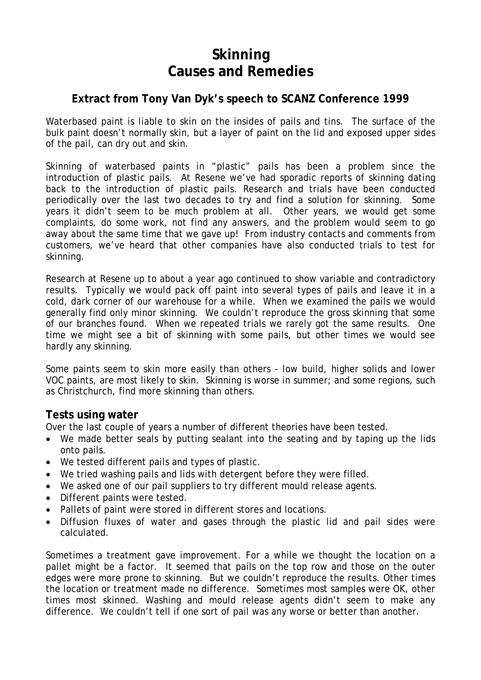# **Skinning Causes and Remedies**

## **Extract from Tony Van Dyk's speech to SCANZ Conference 1999**

Waterbased paint is liable to skin on the insides of pails and tins. The surface of the bulk paint doesn't normally skin, but a layer of paint on the lid and exposed upper sides of the pail, can dry out and skin.

Skinning of waterbased paints in "plastic" pails has been a problem since the introduction of plastic pails. At Resene we've had sporadic reports of skinning dating back to the introduction of plastic pails. Research and trials have been conducted periodically over the last two decades to try and find a solution for skinning. Some years it didn't seem to be much problem at all. Other years, we would get some complaints, do some work, not find any answers, and the problem would seem to go away about the same time that we gave up! From industry contacts and comments from customers, we've heard that other companies have also conducted trials to test for skinning.

Research at Resene up to about a year ago continued to show variable and contradictory results. Typically we would pack off paint into several types of pails and leave it in a cold, dark corner of our warehouse for a while. When we examined the pails we would generally find only minor skinning. We couldn't reproduce the gross skinning that some of our branches found. When we repeated trials we rarely got the same results. One time we might see a bit of skinning with some pails, but other times we would see hardly any skinning.

Some paints seem to skin more easily than others - low build, higher solids and lower VOC paints, are most likely to skin. Skinning is worse in summer; and some regions, such as Christchurch, find more skinning than others.

## **Tests using water**

Over the last couple of years a number of different theories have been tested.

- We made better seals by putting sealant into the seating and by taping up the lids onto pails.
- We tested different pails and types of plastic.
- We tried washing pails and lids with detergent before they were filled.
- We asked one of our pail suppliers to try different mould release agents.
- Different paints were tested.
- Pallets of paint were stored in different stores and locations.
- Diffusion fluxes of water and gases through the plastic lid and pail sides were calculated.

Sometimes a treatment gave improvement. For a while we thought the location on a pallet might be a factor. It seemed that pails on the top row and those on the outer edges were more prone to skinning. But we couldn't reproduce the results. Other times the location or treatment made no difference. Sometimes most samples were OK, other times most skinned. Washing and mould release agents didn't seem to make any difference. We couldn't tell if one sort of pail was any worse or better than another.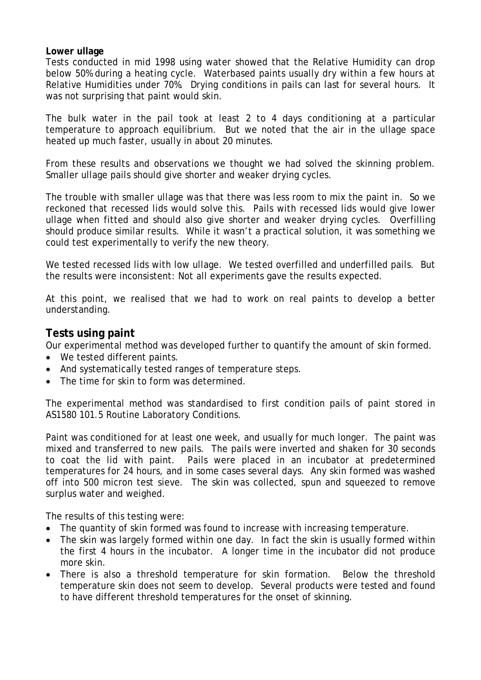## **Lower ullage**

Tests conducted in mid 1998 using water showed that the Relative Humidity can drop below 50% during a heating cycle. Waterbased paints usually dry within a few hours at Relative Humidities under 70%. Drying conditions in pails can last for several hours. It was not surprising that paint would skin.

The bulk water in the pail took at least 2 to 4 days conditioning at a particular temperature to approach equilibrium. But we noted that the air in the ullage space heated up much faster, usually in about 20 minutes.

From these results and observations we thought we had solved the skinning problem. Smaller ullage pails should give shorter and weaker drying cycles.

The trouble with smaller ullage was that there was less room to mix the paint in. So we reckoned that recessed lids would solve this. Pails with recessed lids would give lower ullage when fitted and should also give shorter and weaker drying cycles. Overfilling should produce similar results. While it wasn't a practical solution, it was something we could test experimentally to verify the new theory.

We tested recessed lids with low ullage. We tested overfilled and underfilled pails. But the results were inconsistent: Not all experiments gave the results expected.

At this point, we realised that we had to work on real paints to develop a better understanding.

## **Tests using paint**

Our experimental method was developed further to quantify the amount of skin formed.

- We tested different paints.
- And systematically tested ranges of temperature steps.
- The time for skin to form was determined.

The experimental method was standardised to first condition pails of paint stored in AS1580 101.5 Routine Laboratory Conditions.

Paint was conditioned for at least one week, and usually for much longer. The paint was mixed and transferred to new pails. The pails were inverted and shaken for 30 seconds to coat the lid with paint. Pails were placed in an incubator at predetermined temperatures for 24 hours, and in some cases several days. Any skin formed was washed off into 500 micron test sieve. The skin was collected, spun and squeezed to remove surplus water and weighed.

The results of this testing were:

- The quantity of skin formed was found to increase with increasing temperature.
- The skin was largely formed within one day. In fact the skin is usually formed within the first 4 hours in the incubator. A longer time in the incubator did not produce more skin.
- There is also a threshold temperature for skin formation. Below the threshold temperature skin does not seem to develop. Several products were tested and found to have different threshold temperatures for the onset of skinning.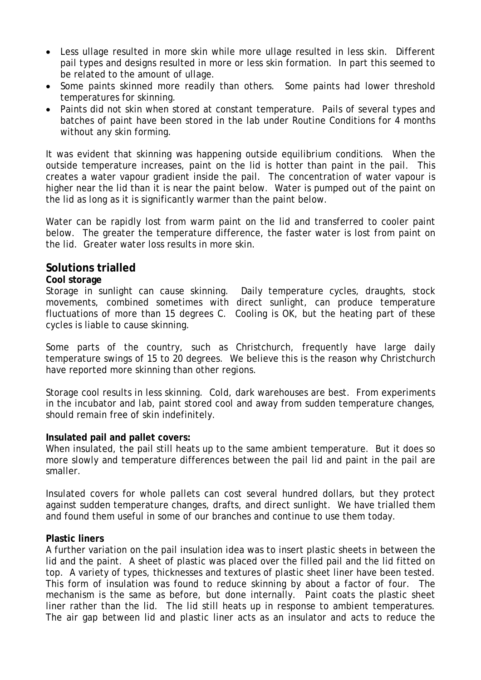- Less ullage resulted in more skin while more ullage resulted in less skin. Different pail types and designs resulted in more or less skin formation. In part this seemed to be related to the amount of ullage.
- Some paints skinned more readily than others. Some paints had lower threshold temperatures for skinning.
- Paints did not skin when stored at constant temperature. Pails of several types and batches of paint have been stored in the lab under Routine Conditions for 4 months without any skin forming.

It was evident that skinning was happening outside equilibrium conditions. When the outside temperature increases, paint on the lid is hotter than paint in the pail. This creates a water vapour gradient inside the pail. The concentration of water vapour is higher near the lid than it is near the paint below. Water is pumped out of the paint on the lid as long as it is significantly warmer than the paint below.

Water can be rapidly lost from warm paint on the lid and transferred to cooler paint below. The greater the temperature difference, the faster water is lost from paint on the lid. Greater water loss results in more skin.

## **Solutions trialled**

## **Cool storage**

Storage in sunlight can cause skinning. Daily temperature cycles, draughts, stock movements, combined sometimes with direct sunlight, can produce temperature fluctuations of more than 15 degrees C. Cooling is OK, but the heating part of these cycles is liable to cause skinning.

Some parts of the country, such as Christchurch, frequently have large daily temperature swings of 15 to 20 degrees. We believe this is the reason why Christchurch have reported more skinning than other regions.

Storage cool results in less skinning. Cold, dark warehouses are best. From experiments in the incubator and lab, paint stored cool and away from sudden temperature changes, should remain free of skin indefinitely.

## **Insulated pail and pallet covers:**

When insulated, the pail still heats up to the same ambient temperature. But it does so more slowly and temperature differences between the pail lid and paint in the pail are smaller.

Insulated covers for whole pallets can cost several hundred dollars, but they protect against sudden temperature changes, drafts, and direct sunlight. We have trialled them and found them useful in some of our branches and continue to use them today.

## **Plastic liners**

A further variation on the pail insulation idea was to insert plastic sheets in between the lid and the paint. A sheet of plastic was placed over the filled pail and the lid fitted on top. A variety of types, thicknesses and textures of plastic sheet liner have been tested. This form of insulation was found to reduce skinning by about a factor of four. The mechanism is the same as before, but done internally. Paint coats the plastic sheet liner rather than the lid. The lid still heats up in response to ambient temperatures. The air gap between lid and plastic liner acts as an insulator and acts to reduce the